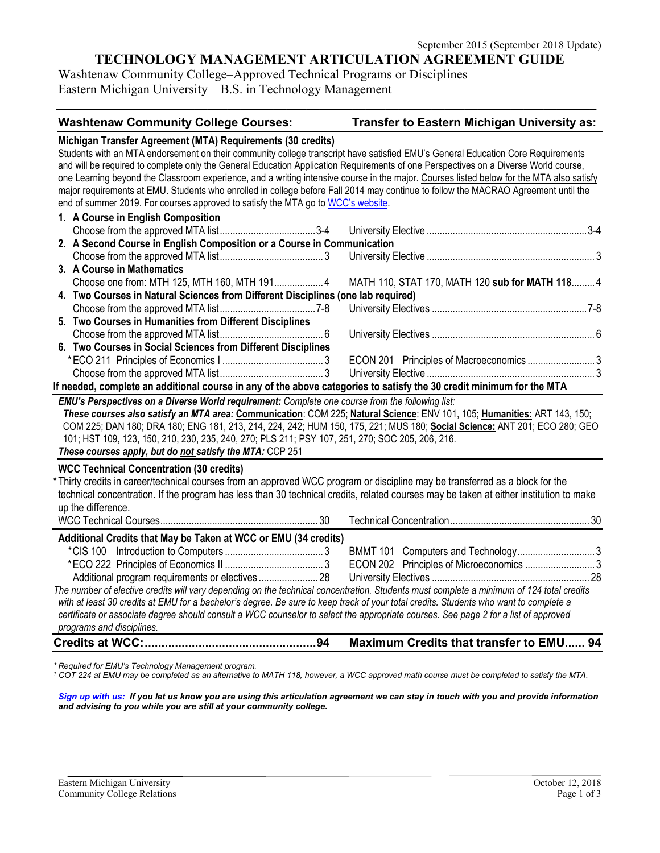# **TECHNOLOGY MANAGEMENT ARTICULATION AGREEMENT GUIDE**

*\_\_\_\_\_\_\_\_\_\_\_\_\_\_\_\_\_\_\_\_\_\_\_\_\_\_\_\_\_\_\_\_\_\_\_\_\_\_\_\_\_\_\_\_\_\_\_\_\_\_\_\_\_\_\_\_\_\_\_\_\_\_\_\_\_\_\_\_\_\_\_\_\_\_\_\_\_\_\_\_\_\_*

Washtenaw Community College–Approved Technical Programs or Disciplines Eastern Michigan University – B.S. in Technology Management

# **Washtenaw Community College Courses: Transfer to Eastern Michigan University as:**<br>Michigan Transfer Agreement (MTA) Requirements (20 credita)

| Students with an MTA endorsement on their community college transcript have satisfied EMU's General Education Core Requirements<br>and will be required to complete only the General Education Application Requirements of one Perspectives on a Diverse World course,<br>one Learning beyond the Classroom experience, and a writing intensive course in the major. Courses listed below for the MTA also satisfy<br>major requirements at EMU. Students who enrolled in college before Fall 2014 may continue to follow the MACRAO Agreement until the<br>end of summer 2019. For courses approved to satisfy the MTA go to WCC's website.<br>1. A Course in English Composition<br>2. A Second Course in English Composition or a Course in Communication<br>3. A Course in Mathematics<br>Choose one from: MTH 125, MTH 160, MTH 191 4<br>4. Two Courses in Natural Sciences from Different Disciplines (one lab required)<br>5. Two Courses in Humanities from Different Disciplines<br>6. Two Courses in Social Sciences from Different Disciplines<br>ECON 201 Principles of Macroeconomics 3<br>If needed, complete an additional course in any of the above categories to satisfy the 30 credit minimum for the MTA<br>EMU's Perspectives on a Diverse World requirement: Complete one course from the following list:<br>These courses also satisfy an MTA area: Communication: COM 225; Natural Science: ENV 101, 105; Humanities: ART 143, 150;<br>COM 225; DAN 180; DRA 180; ENG 181, 213, 214, 224, 242; HUM 150, 175, 221; MUS 180; Social Science: ANT 201; ECO 280; GEO<br>101; HST 109, 123, 150, 210, 230, 235, 240, 270; PLS 211; PSY 107, 251, 270; SOC 205, 206, 216.<br>These courses apply, but do not satisfy the MTA: CCP 251<br><b>WCC Technical Concentration (30 credits)</b><br>Thirty credits in career/technical courses from an approved WCC program or discipline may be transferred as a block for the<br>technical concentration. If the program has less than 30 technical credits, related courses may be taken at either institution to make<br>up the difference.<br>Additional Credits that May be Taken at WCC or EMU (34 credits)<br>BMMT 101 Computers and Technology3<br>ECON 202 Principles of Microeconomics 3<br>The number of elective credits will vary depending on the technical concentration. Students must complete a minimum of 124 total credits<br>with at least 30 credits at EMU for a bachelor's degree. Be sure to keep track of your total credits. Students who want to complete a<br>certificate or associate degree should consult a WCC counselor to select the appropriate courses. See page 2 for a list of approved<br>programs and disciplines.<br>Maximum Credits that transfer to EMU 94 | Michigan Transfer Agreement (MTA) Requirements (30 credits) |                                                 |
|-------------------------------------------------------------------------------------------------------------------------------------------------------------------------------------------------------------------------------------------------------------------------------------------------------------------------------------------------------------------------------------------------------------------------------------------------------------------------------------------------------------------------------------------------------------------------------------------------------------------------------------------------------------------------------------------------------------------------------------------------------------------------------------------------------------------------------------------------------------------------------------------------------------------------------------------------------------------------------------------------------------------------------------------------------------------------------------------------------------------------------------------------------------------------------------------------------------------------------------------------------------------------------------------------------------------------------------------------------------------------------------------------------------------------------------------------------------------------------------------------------------------------------------------------------------------------------------------------------------------------------------------------------------------------------------------------------------------------------------------------------------------------------------------------------------------------------------------------------------------------------------------------------------------------------------------------------------------------------------------------------------------------------------------------------------------------------------------------------------------------------------------------------------------------------------------------------------------------------------------------------------------------------------------------------------------------------------------------------------------------------------------------------------------------------------------------------------------------------------------------------------------------------------------------------------------------------------------------------------------------------------------------------------------------------------------------------------------------------------------------------------------|-------------------------------------------------------------|-------------------------------------------------|
|                                                                                                                                                                                                                                                                                                                                                                                                                                                                                                                                                                                                                                                                                                                                                                                                                                                                                                                                                                                                                                                                                                                                                                                                                                                                                                                                                                                                                                                                                                                                                                                                                                                                                                                                                                                                                                                                                                                                                                                                                                                                                                                                                                                                                                                                                                                                                                                                                                                                                                                                                                                                                                                                                                                                                                   |                                                             |                                                 |
|                                                                                                                                                                                                                                                                                                                                                                                                                                                                                                                                                                                                                                                                                                                                                                                                                                                                                                                                                                                                                                                                                                                                                                                                                                                                                                                                                                                                                                                                                                                                                                                                                                                                                                                                                                                                                                                                                                                                                                                                                                                                                                                                                                                                                                                                                                                                                                                                                                                                                                                                                                                                                                                                                                                                                                   |                                                             |                                                 |
|                                                                                                                                                                                                                                                                                                                                                                                                                                                                                                                                                                                                                                                                                                                                                                                                                                                                                                                                                                                                                                                                                                                                                                                                                                                                                                                                                                                                                                                                                                                                                                                                                                                                                                                                                                                                                                                                                                                                                                                                                                                                                                                                                                                                                                                                                                                                                                                                                                                                                                                                                                                                                                                                                                                                                                   |                                                             |                                                 |
|                                                                                                                                                                                                                                                                                                                                                                                                                                                                                                                                                                                                                                                                                                                                                                                                                                                                                                                                                                                                                                                                                                                                                                                                                                                                                                                                                                                                                                                                                                                                                                                                                                                                                                                                                                                                                                                                                                                                                                                                                                                                                                                                                                                                                                                                                                                                                                                                                                                                                                                                                                                                                                                                                                                                                                   |                                                             |                                                 |
|                                                                                                                                                                                                                                                                                                                                                                                                                                                                                                                                                                                                                                                                                                                                                                                                                                                                                                                                                                                                                                                                                                                                                                                                                                                                                                                                                                                                                                                                                                                                                                                                                                                                                                                                                                                                                                                                                                                                                                                                                                                                                                                                                                                                                                                                                                                                                                                                                                                                                                                                                                                                                                                                                                                                                                   |                                                             |                                                 |
|                                                                                                                                                                                                                                                                                                                                                                                                                                                                                                                                                                                                                                                                                                                                                                                                                                                                                                                                                                                                                                                                                                                                                                                                                                                                                                                                                                                                                                                                                                                                                                                                                                                                                                                                                                                                                                                                                                                                                                                                                                                                                                                                                                                                                                                                                                                                                                                                                                                                                                                                                                                                                                                                                                                                                                   |                                                             |                                                 |
|                                                                                                                                                                                                                                                                                                                                                                                                                                                                                                                                                                                                                                                                                                                                                                                                                                                                                                                                                                                                                                                                                                                                                                                                                                                                                                                                                                                                                                                                                                                                                                                                                                                                                                                                                                                                                                                                                                                                                                                                                                                                                                                                                                                                                                                                                                                                                                                                                                                                                                                                                                                                                                                                                                                                                                   |                                                             |                                                 |
|                                                                                                                                                                                                                                                                                                                                                                                                                                                                                                                                                                                                                                                                                                                                                                                                                                                                                                                                                                                                                                                                                                                                                                                                                                                                                                                                                                                                                                                                                                                                                                                                                                                                                                                                                                                                                                                                                                                                                                                                                                                                                                                                                                                                                                                                                                                                                                                                                                                                                                                                                                                                                                                                                                                                                                   |                                                             |                                                 |
|                                                                                                                                                                                                                                                                                                                                                                                                                                                                                                                                                                                                                                                                                                                                                                                                                                                                                                                                                                                                                                                                                                                                                                                                                                                                                                                                                                                                                                                                                                                                                                                                                                                                                                                                                                                                                                                                                                                                                                                                                                                                                                                                                                                                                                                                                                                                                                                                                                                                                                                                                                                                                                                                                                                                                                   |                                                             |                                                 |
|                                                                                                                                                                                                                                                                                                                                                                                                                                                                                                                                                                                                                                                                                                                                                                                                                                                                                                                                                                                                                                                                                                                                                                                                                                                                                                                                                                                                                                                                                                                                                                                                                                                                                                                                                                                                                                                                                                                                                                                                                                                                                                                                                                                                                                                                                                                                                                                                                                                                                                                                                                                                                                                                                                                                                                   |                                                             |                                                 |
|                                                                                                                                                                                                                                                                                                                                                                                                                                                                                                                                                                                                                                                                                                                                                                                                                                                                                                                                                                                                                                                                                                                                                                                                                                                                                                                                                                                                                                                                                                                                                                                                                                                                                                                                                                                                                                                                                                                                                                                                                                                                                                                                                                                                                                                                                                                                                                                                                                                                                                                                                                                                                                                                                                                                                                   |                                                             | MATH 110, STAT 170, MATH 120 sub for MATH 118 4 |
|                                                                                                                                                                                                                                                                                                                                                                                                                                                                                                                                                                                                                                                                                                                                                                                                                                                                                                                                                                                                                                                                                                                                                                                                                                                                                                                                                                                                                                                                                                                                                                                                                                                                                                                                                                                                                                                                                                                                                                                                                                                                                                                                                                                                                                                                                                                                                                                                                                                                                                                                                                                                                                                                                                                                                                   |                                                             |                                                 |
|                                                                                                                                                                                                                                                                                                                                                                                                                                                                                                                                                                                                                                                                                                                                                                                                                                                                                                                                                                                                                                                                                                                                                                                                                                                                                                                                                                                                                                                                                                                                                                                                                                                                                                                                                                                                                                                                                                                                                                                                                                                                                                                                                                                                                                                                                                                                                                                                                                                                                                                                                                                                                                                                                                                                                                   |                                                             |                                                 |
|                                                                                                                                                                                                                                                                                                                                                                                                                                                                                                                                                                                                                                                                                                                                                                                                                                                                                                                                                                                                                                                                                                                                                                                                                                                                                                                                                                                                                                                                                                                                                                                                                                                                                                                                                                                                                                                                                                                                                                                                                                                                                                                                                                                                                                                                                                                                                                                                                                                                                                                                                                                                                                                                                                                                                                   |                                                             |                                                 |
|                                                                                                                                                                                                                                                                                                                                                                                                                                                                                                                                                                                                                                                                                                                                                                                                                                                                                                                                                                                                                                                                                                                                                                                                                                                                                                                                                                                                                                                                                                                                                                                                                                                                                                                                                                                                                                                                                                                                                                                                                                                                                                                                                                                                                                                                                                                                                                                                                                                                                                                                                                                                                                                                                                                                                                   |                                                             |                                                 |
|                                                                                                                                                                                                                                                                                                                                                                                                                                                                                                                                                                                                                                                                                                                                                                                                                                                                                                                                                                                                                                                                                                                                                                                                                                                                                                                                                                                                                                                                                                                                                                                                                                                                                                                                                                                                                                                                                                                                                                                                                                                                                                                                                                                                                                                                                                                                                                                                                                                                                                                                                                                                                                                                                                                                                                   |                                                             |                                                 |
|                                                                                                                                                                                                                                                                                                                                                                                                                                                                                                                                                                                                                                                                                                                                                                                                                                                                                                                                                                                                                                                                                                                                                                                                                                                                                                                                                                                                                                                                                                                                                                                                                                                                                                                                                                                                                                                                                                                                                                                                                                                                                                                                                                                                                                                                                                                                                                                                                                                                                                                                                                                                                                                                                                                                                                   |                                                             |                                                 |
|                                                                                                                                                                                                                                                                                                                                                                                                                                                                                                                                                                                                                                                                                                                                                                                                                                                                                                                                                                                                                                                                                                                                                                                                                                                                                                                                                                                                                                                                                                                                                                                                                                                                                                                                                                                                                                                                                                                                                                                                                                                                                                                                                                                                                                                                                                                                                                                                                                                                                                                                                                                                                                                                                                                                                                   |                                                             |                                                 |
|                                                                                                                                                                                                                                                                                                                                                                                                                                                                                                                                                                                                                                                                                                                                                                                                                                                                                                                                                                                                                                                                                                                                                                                                                                                                                                                                                                                                                                                                                                                                                                                                                                                                                                                                                                                                                                                                                                                                                                                                                                                                                                                                                                                                                                                                                                                                                                                                                                                                                                                                                                                                                                                                                                                                                                   |                                                             |                                                 |
|                                                                                                                                                                                                                                                                                                                                                                                                                                                                                                                                                                                                                                                                                                                                                                                                                                                                                                                                                                                                                                                                                                                                                                                                                                                                                                                                                                                                                                                                                                                                                                                                                                                                                                                                                                                                                                                                                                                                                                                                                                                                                                                                                                                                                                                                                                                                                                                                                                                                                                                                                                                                                                                                                                                                                                   |                                                             |                                                 |
|                                                                                                                                                                                                                                                                                                                                                                                                                                                                                                                                                                                                                                                                                                                                                                                                                                                                                                                                                                                                                                                                                                                                                                                                                                                                                                                                                                                                                                                                                                                                                                                                                                                                                                                                                                                                                                                                                                                                                                                                                                                                                                                                                                                                                                                                                                                                                                                                                                                                                                                                                                                                                                                                                                                                                                   |                                                             |                                                 |
|                                                                                                                                                                                                                                                                                                                                                                                                                                                                                                                                                                                                                                                                                                                                                                                                                                                                                                                                                                                                                                                                                                                                                                                                                                                                                                                                                                                                                                                                                                                                                                                                                                                                                                                                                                                                                                                                                                                                                                                                                                                                                                                                                                                                                                                                                                                                                                                                                                                                                                                                                                                                                                                                                                                                                                   |                                                             |                                                 |
|                                                                                                                                                                                                                                                                                                                                                                                                                                                                                                                                                                                                                                                                                                                                                                                                                                                                                                                                                                                                                                                                                                                                                                                                                                                                                                                                                                                                                                                                                                                                                                                                                                                                                                                                                                                                                                                                                                                                                                                                                                                                                                                                                                                                                                                                                                                                                                                                                                                                                                                                                                                                                                                                                                                                                                   |                                                             |                                                 |
|                                                                                                                                                                                                                                                                                                                                                                                                                                                                                                                                                                                                                                                                                                                                                                                                                                                                                                                                                                                                                                                                                                                                                                                                                                                                                                                                                                                                                                                                                                                                                                                                                                                                                                                                                                                                                                                                                                                                                                                                                                                                                                                                                                                                                                                                                                                                                                                                                                                                                                                                                                                                                                                                                                                                                                   |                                                             |                                                 |
|                                                                                                                                                                                                                                                                                                                                                                                                                                                                                                                                                                                                                                                                                                                                                                                                                                                                                                                                                                                                                                                                                                                                                                                                                                                                                                                                                                                                                                                                                                                                                                                                                                                                                                                                                                                                                                                                                                                                                                                                                                                                                                                                                                                                                                                                                                                                                                                                                                                                                                                                                                                                                                                                                                                                                                   |                                                             |                                                 |
|                                                                                                                                                                                                                                                                                                                                                                                                                                                                                                                                                                                                                                                                                                                                                                                                                                                                                                                                                                                                                                                                                                                                                                                                                                                                                                                                                                                                                                                                                                                                                                                                                                                                                                                                                                                                                                                                                                                                                                                                                                                                                                                                                                                                                                                                                                                                                                                                                                                                                                                                                                                                                                                                                                                                                                   |                                                             |                                                 |
|                                                                                                                                                                                                                                                                                                                                                                                                                                                                                                                                                                                                                                                                                                                                                                                                                                                                                                                                                                                                                                                                                                                                                                                                                                                                                                                                                                                                                                                                                                                                                                                                                                                                                                                                                                                                                                                                                                                                                                                                                                                                                                                                                                                                                                                                                                                                                                                                                                                                                                                                                                                                                                                                                                                                                                   |                                                             |                                                 |
|                                                                                                                                                                                                                                                                                                                                                                                                                                                                                                                                                                                                                                                                                                                                                                                                                                                                                                                                                                                                                                                                                                                                                                                                                                                                                                                                                                                                                                                                                                                                                                                                                                                                                                                                                                                                                                                                                                                                                                                                                                                                                                                                                                                                                                                                                                                                                                                                                                                                                                                                                                                                                                                                                                                                                                   |                                                             |                                                 |
|                                                                                                                                                                                                                                                                                                                                                                                                                                                                                                                                                                                                                                                                                                                                                                                                                                                                                                                                                                                                                                                                                                                                                                                                                                                                                                                                                                                                                                                                                                                                                                                                                                                                                                                                                                                                                                                                                                                                                                                                                                                                                                                                                                                                                                                                                                                                                                                                                                                                                                                                                                                                                                                                                                                                                                   |                                                             |                                                 |
|                                                                                                                                                                                                                                                                                                                                                                                                                                                                                                                                                                                                                                                                                                                                                                                                                                                                                                                                                                                                                                                                                                                                                                                                                                                                                                                                                                                                                                                                                                                                                                                                                                                                                                                                                                                                                                                                                                                                                                                                                                                                                                                                                                                                                                                                                                                                                                                                                                                                                                                                                                                                                                                                                                                                                                   |                                                             |                                                 |
|                                                                                                                                                                                                                                                                                                                                                                                                                                                                                                                                                                                                                                                                                                                                                                                                                                                                                                                                                                                                                                                                                                                                                                                                                                                                                                                                                                                                                                                                                                                                                                                                                                                                                                                                                                                                                                                                                                                                                                                                                                                                                                                                                                                                                                                                                                                                                                                                                                                                                                                                                                                                                                                                                                                                                                   |                                                             |                                                 |
|                                                                                                                                                                                                                                                                                                                                                                                                                                                                                                                                                                                                                                                                                                                                                                                                                                                                                                                                                                                                                                                                                                                                                                                                                                                                                                                                                                                                                                                                                                                                                                                                                                                                                                                                                                                                                                                                                                                                                                                                                                                                                                                                                                                                                                                                                                                                                                                                                                                                                                                                                                                                                                                                                                                                                                   |                                                             |                                                 |
|                                                                                                                                                                                                                                                                                                                                                                                                                                                                                                                                                                                                                                                                                                                                                                                                                                                                                                                                                                                                                                                                                                                                                                                                                                                                                                                                                                                                                                                                                                                                                                                                                                                                                                                                                                                                                                                                                                                                                                                                                                                                                                                                                                                                                                                                                                                                                                                                                                                                                                                                                                                                                                                                                                                                                                   |                                                             |                                                 |
|                                                                                                                                                                                                                                                                                                                                                                                                                                                                                                                                                                                                                                                                                                                                                                                                                                                                                                                                                                                                                                                                                                                                                                                                                                                                                                                                                                                                                                                                                                                                                                                                                                                                                                                                                                                                                                                                                                                                                                                                                                                                                                                                                                                                                                                                                                                                                                                                                                                                                                                                                                                                                                                                                                                                                                   |                                                             |                                                 |
|                                                                                                                                                                                                                                                                                                                                                                                                                                                                                                                                                                                                                                                                                                                                                                                                                                                                                                                                                                                                                                                                                                                                                                                                                                                                                                                                                                                                                                                                                                                                                                                                                                                                                                                                                                                                                                                                                                                                                                                                                                                                                                                                                                                                                                                                                                                                                                                                                                                                                                                                                                                                                                                                                                                                                                   |                                                             |                                                 |
|                                                                                                                                                                                                                                                                                                                                                                                                                                                                                                                                                                                                                                                                                                                                                                                                                                                                                                                                                                                                                                                                                                                                                                                                                                                                                                                                                                                                                                                                                                                                                                                                                                                                                                                                                                                                                                                                                                                                                                                                                                                                                                                                                                                                                                                                                                                                                                                                                                                                                                                                                                                                                                                                                                                                                                   |                                                             |                                                 |
|                                                                                                                                                                                                                                                                                                                                                                                                                                                                                                                                                                                                                                                                                                                                                                                                                                                                                                                                                                                                                                                                                                                                                                                                                                                                                                                                                                                                                                                                                                                                                                                                                                                                                                                                                                                                                                                                                                                                                                                                                                                                                                                                                                                                                                                                                                                                                                                                                                                                                                                                                                                                                                                                                                                                                                   |                                                             |                                                 |
|                                                                                                                                                                                                                                                                                                                                                                                                                                                                                                                                                                                                                                                                                                                                                                                                                                                                                                                                                                                                                                                                                                                                                                                                                                                                                                                                                                                                                                                                                                                                                                                                                                                                                                                                                                                                                                                                                                                                                                                                                                                                                                                                                                                                                                                                                                                                                                                                                                                                                                                                                                                                                                                                                                                                                                   |                                                             |                                                 |
|                                                                                                                                                                                                                                                                                                                                                                                                                                                                                                                                                                                                                                                                                                                                                                                                                                                                                                                                                                                                                                                                                                                                                                                                                                                                                                                                                                                                                                                                                                                                                                                                                                                                                                                                                                                                                                                                                                                                                                                                                                                                                                                                                                                                                                                                                                                                                                                                                                                                                                                                                                                                                                                                                                                                                                   |                                                             |                                                 |

*\* Required for EMU's Technology Management program.* 

*<sup>1</sup> COT 224 at EMU may be completed as an alternative to MATH 118, however, a WCC approved math course must be completed to satisfy the MTA.*

*[Sign up with us:](https://www.emich.edu/ccr/articulation-agreements/signup.php) If you let us know you are using this articulation agreement we can stay in touch with you and provide information and advising to you while you are still at your community college.*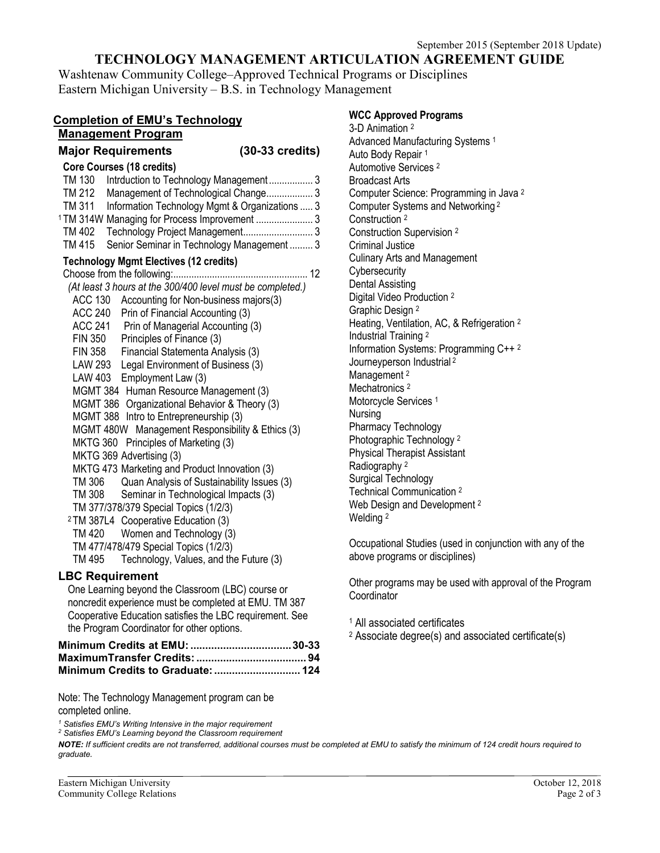# **TECHNOLOGY MANAGEMENT ARTICULATION AGREEMENT GUIDE**

Washtenaw Community College–Approved Technical Programs or Disciplines Eastern Michigan University – B.S. in Technology Management

| <b>Completion of EMU's Technology</b>                                                                                                                                                                                                                                                                                                                                                                                                                                                                                                                                                                                                                                                                                                                                                                                                                                                                                                                                                                                                                                                      |  |  |
|--------------------------------------------------------------------------------------------------------------------------------------------------------------------------------------------------------------------------------------------------------------------------------------------------------------------------------------------------------------------------------------------------------------------------------------------------------------------------------------------------------------------------------------------------------------------------------------------------------------------------------------------------------------------------------------------------------------------------------------------------------------------------------------------------------------------------------------------------------------------------------------------------------------------------------------------------------------------------------------------------------------------------------------------------------------------------------------------|--|--|
| <b>Management Program</b>                                                                                                                                                                                                                                                                                                                                                                                                                                                                                                                                                                                                                                                                                                                                                                                                                                                                                                                                                                                                                                                                  |  |  |
| <b>Major Requirements</b><br>$(30-33 \text{ credits})$<br><b>Core Courses (18 credits)</b><br>TM 130 Intrduction to Technology Management 3<br>TM 212 Management of Technological Change 3<br>TM 311 Information Technology Mgmt & Organizations  3<br><sup>1</sup> TM 314W Managing for Process Improvement  3<br>TM 402 Technology Project Management 3<br>TM 415<br>Senior Seminar in Technology Management 3<br><b>Technology Mgmt Electives (12 credits)</b><br>(At least 3 hours at the 300/400 level must be completed.)<br>ACC 130<br>Accounting for Non-business majors(3)<br>ACC 240 Prin of Financial Accounting (3)<br>ACC 241 Prin of Managerial Accounting (3)<br>FIN 350 Principles of Finance (3)<br><b>FIN 358</b><br>Financial Statementa Analysis (3)<br>LAW 293<br>Legal Environment of Business (3)<br>LAW 403<br>Employment Law (3)<br>MGMT 384 Human Resource Management (3)<br>MGMT 386 Organizational Behavior & Theory (3)<br>MGMT 388 Intro to Entrepreneurship (3)<br>MGMT 480W Management Responsibility & Ethics (3)<br>MKTG 360 Principles of Marketing (3) |  |  |
| MKTG 369 Advertising (3)<br>MKTG 473 Marketing and Product Innovation (3)<br>TM 306<br>Quan Analysis of Sustainability Issues (3)<br>TM 308<br>Seminar in Technological Impacts (3)<br>TM 377/378/379 Special Topics (1/2/3)<br><sup>2</sup> TM 387L4 Cooperative Education (3)<br>TM 420 Women and Technology (3)<br>TM 477/478/479 Special Topics (1/2/3)<br>TM 495<br>Technology, Values, and the Future (3)                                                                                                                                                                                                                                                                                                                                                                                                                                                                                                                                                                                                                                                                            |  |  |
| <b>LBC Requirement</b><br>One Learning beyond the Classroom (LBC) course or<br>noncredit experience must be completed at EMU. TM 387<br>Cooperative Education satisfies the LBC requirement. See<br>the Program Coordinator for other options.                                                                                                                                                                                                                                                                                                                                                                                                                                                                                                                                                                                                                                                                                                                                                                                                                                             |  |  |
| Minimum Credits to Graduate:  124                                                                                                                                                                                                                                                                                                                                                                                                                                                                                                                                                                                                                                                                                                                                                                                                                                                                                                                                                                                                                                                          |  |  |

Note: The Technology Management program can be completed online.

*<sup>1</sup> Satisfies EMU's Writing Intensive in the major requirement*

*<sup>2</sup> Satisfies EMU's Learning beyond the Classroom requirement*

**WCC Approved Programs**

3-D Animation 2 Advanced Manufacturing Systems 1 Auto Body Repair 1 Automotive Services 2 Broadcast Arts Computer Science: Programming in Java 2 Computer Systems and Networking <sup>2</sup> Construction 2 Construction Supervision 2 Criminal Justice Culinary Arts and Management **Cybersecurity** Dental Assisting Digital Video Production 2 Graphic Design 2 Heating, Ventilation, AC, & Refrigeration 2 Industrial Training 2 Information Systems: Programming C++ 2 Journeyperson Industrial <sup>2</sup> Management<sup>2</sup> Mechatronics<sup>2</sup> Motorcycle Services<sup>1</sup> Nursing Pharmacy Technology Photographic Technology 2 Physical Therapist Assistant Radiography 2 Surgical Technology Technical Communication 2 Web Design and Development<sup>2</sup> Welding 2

Occupational Studies (used in conjunction with any of the above programs or disciplines)

Other programs may be used with approval of the Program **Coordinator** 

<sup>1</sup> All associated certificates

<sup>2</sup> Associate degree(s) and associated certificate(s)

*NOTE: If sufficient credits are not transferred, additional courses must be completed at EMU to satisfy the minimum of 124 credit hours required to graduate.*